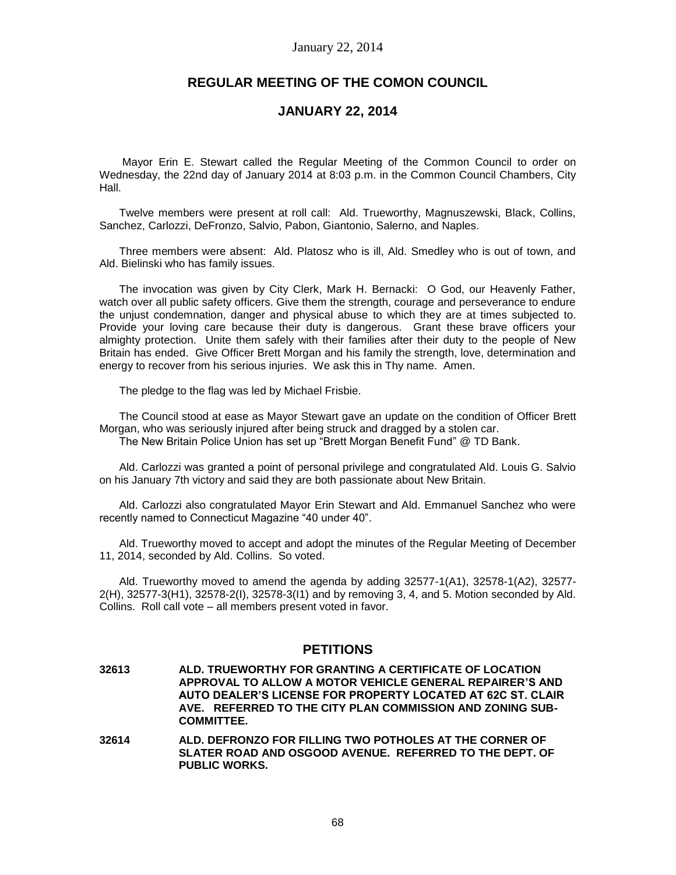# **REGULAR MEETING OF THE COMON COUNCIL**

# **JANUARY 22, 2014**

Mayor Erin E. Stewart called the Regular Meeting of the Common Council to order on Wednesday, the 22nd day of January 2014 at 8:03 p.m. in the Common Council Chambers, City Hall.

Twelve members were present at roll call: Ald. Trueworthy, Magnuszewski, Black, Collins, Sanchez, Carlozzi, DeFronzo, Salvio, Pabon, Giantonio, Salerno, and Naples.

Three members were absent: Ald. Platosz who is ill, Ald. Smedley who is out of town, and Ald. Bielinski who has family issues.

The invocation was given by City Clerk, Mark H. Bernacki: O God, our Heavenly Father, watch over all public safety officers. Give them the strength, courage and perseverance to endure the unjust condemnation, danger and physical abuse to which they are at times subjected to. Provide your loving care because their duty is dangerous. Grant these brave officers your almighty protection. Unite them safely with their families after their duty to the people of New Britain has ended. Give Officer Brett Morgan and his family the strength, love, determination and energy to recover from his serious injuries. We ask this in Thy name. Amen.

The pledge to the flag was led by Michael Frisbie.

The Council stood at ease as Mayor Stewart gave an update on the condition of Officer Brett Morgan, who was seriously injured after being struck and dragged by a stolen car. The New Britain Police Union has set up "Brett Morgan Benefit Fund" @ TD Bank.

Ald. Carlozzi was granted a point of personal privilege and congratulated Ald. Louis G. Salvio on his January 7th victory and said they are both passionate about New Britain.

Ald. Carlozzi also congratulated Mayor Erin Stewart and Ald. Emmanuel Sanchez who were recently named to Connecticut Magazine "40 under 40".

Ald. Trueworthy moved to accept and adopt the minutes of the Regular Meeting of December 11, 2014, seconded by Ald. Collins. So voted.

Ald. Trueworthy moved to amend the agenda by adding 32577-1(A1), 32578-1(A2), 32577- 2(H), 32577-3(H1), 32578-2(I), 32578-3(I1) and by removing 3, 4, and 5. Motion seconded by Ald. Collins. Roll call vote – all members present voted in favor.

## **PETITIONS**

**32613 ALD. TRUEWORTHY FOR GRANTING A CERTIFICATE OF LOCATION APPROVAL TO ALLOW A MOTOR VEHICLE GENERAL REPAIRER'S AND AUTO DEALER'S LICENSE FOR PROPERTY LOCATED AT 62C ST. CLAIR AVE. REFERRED TO THE CITY PLAN COMMISSION AND ZONING SUB-COMMITTEE.**

**32614 ALD. DEFRONZO FOR FILLING TWO POTHOLES AT THE CORNER OF SLATER ROAD AND OSGOOD AVENUE. REFERRED TO THE DEPT. OF PUBLIC WORKS.**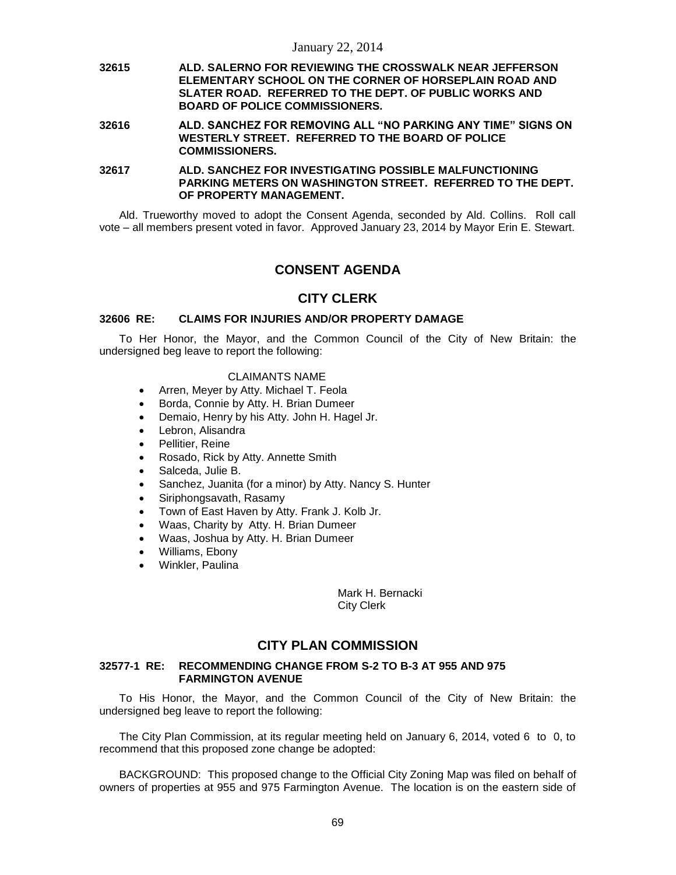**32615 ALD. SALERNO FOR REVIEWING THE CROSSWALK NEAR JEFFERSON ELEMENTARY SCHOOL ON THE CORNER OF HORSEPLAIN ROAD AND SLATER ROAD. REFERRED TO THE DEPT. OF PUBLIC WORKS AND BOARD OF POLICE COMMISSIONERS.**

**32616 ALD. SANCHEZ FOR REMOVING ALL "NO PARKING ANY TIME" SIGNS ON WESTERLY STREET. REFERRED TO THE BOARD OF POLICE COMMISSIONERS.**

**32617 ALD. SANCHEZ FOR INVESTIGATING POSSIBLE MALFUNCTIONING PARKING METERS ON WASHINGTON STREET. REFERRED TO THE DEPT. OF PROPERTY MANAGEMENT.**

Ald. Trueworthy moved to adopt the Consent Agenda, seconded by Ald. Collins. Roll call vote – all members present voted in favor. Approved January 23, 2014 by Mayor Erin E. Stewart.

# **CONSENT AGENDA**

## **CITY CLERK**

## **32606 RE: CLAIMS FOR INJURIES AND/OR PROPERTY DAMAGE**

To Her Honor, the Mayor, and the Common Council of the City of New Britain: the undersigned beg leave to report the following:

#### CLAIMANTS NAME

- Arren, Meyer by Atty. Michael T. Feola
- Borda, Connie by Atty. H. Brian Dumeer
- Demaio, Henry by his Atty. John H. Hagel Jr.
- Lebron, Alisandra
- Pellitier, Reine
- Rosado, Rick by Atty. Annette Smith
- Salceda, Julie B.
- Sanchez, Juanita (for a minor) by Atty. Nancy S. Hunter
- Siriphongsavath, Rasamy
- Town of East Haven by Atty. Frank J. Kolb Jr.
- Waas, Charity by Atty. H. Brian Dumeer
- Waas, Joshua by Atty. H. Brian Dumeer
- Williams, Ebony
- Winkler, Paulina

Mark H. Bernacki City Clerk

## **CITY PLAN COMMISSION**

### **32577-1 RE: RECOMMENDING CHANGE FROM S-2 TO B-3 AT 955 AND 975 FARMINGTON AVENUE**

To His Honor, the Mayor, and the Common Council of the City of New Britain: the undersigned beg leave to report the following:

The City Plan Commission, at its regular meeting held on January 6, 2014, voted 6 to 0, to recommend that this proposed zone change be adopted:

BACKGROUND: This proposed change to the Official City Zoning Map was filed on behalf of owners of properties at 955 and 975 Farmington Avenue. The location is on the eastern side of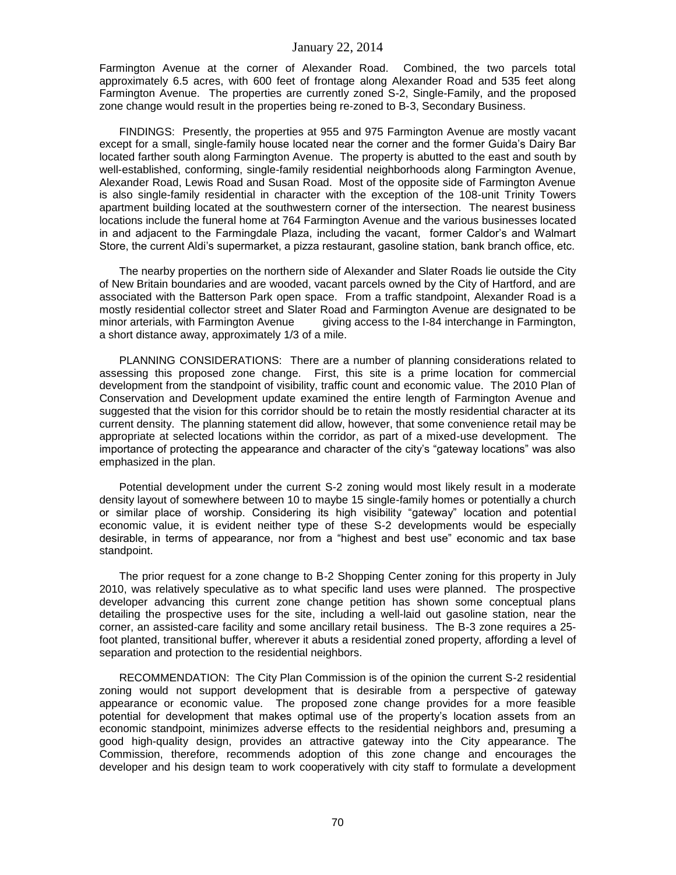Farmington Avenue at the corner of Alexander Road. Combined, the two parcels total approximately 6.5 acres, with 600 feet of frontage along Alexander Road and 535 feet along Farmington Avenue. The properties are currently zoned S-2, Single-Family, and the proposed zone change would result in the properties being re-zoned to B-3, Secondary Business.

FINDINGS: Presently, the properties at 955 and 975 Farmington Avenue are mostly vacant except for a small, single-family house located near the corner and the former Guida's Dairy Bar located farther south along Farmington Avenue. The property is abutted to the east and south by well-established, conforming, single-family residential neighborhoods along Farmington Avenue, Alexander Road, Lewis Road and Susan Road. Most of the opposite side of Farmington Avenue is also single-family residential in character with the exception of the 108-unit Trinity Towers apartment building located at the southwestern corner of the intersection. The nearest business locations include the funeral home at 764 Farmington Avenue and the various businesses located in and adjacent to the Farmingdale Plaza, including the vacant, former Caldor's and Walmart Store, the current Aldi's supermarket, a pizza restaurant, gasoline station, bank branch office, etc.

The nearby properties on the northern side of Alexander and Slater Roads lie outside the City of New Britain boundaries and are wooded, vacant parcels owned by the City of Hartford, and are associated with the Batterson Park open space. From a traffic standpoint, Alexander Road is a mostly residential collector street and Slater Road and Farmington Avenue are designated to be minor arterials, with Farmington Avenue giving access to the I-84 interchange in Farmington, a short distance away, approximately 1/3 of a mile.

PLANNING CONSIDERATIONS: There are a number of planning considerations related to assessing this proposed zone change. First, this site is a prime location for commercial development from the standpoint of visibility, traffic count and economic value. The 2010 Plan of Conservation and Development update examined the entire length of Farmington Avenue and suggested that the vision for this corridor should be to retain the mostly residential character at its current density. The planning statement did allow, however, that some convenience retail may be appropriate at selected locations within the corridor, as part of a mixed-use development. The importance of protecting the appearance and character of the city's "gateway locations" was also emphasized in the plan.

Potential development under the current S-2 zoning would most likely result in a moderate density layout of somewhere between 10 to maybe 15 single-family homes or potentially a church or similar place of worship. Considering its high visibility "gateway" location and potential economic value, it is evident neither type of these S-2 developments would be especially desirable, in terms of appearance, nor from a "highest and best use" economic and tax base standpoint.

The prior request for a zone change to B-2 Shopping Center zoning for this property in July 2010, was relatively speculative as to what specific land uses were planned. The prospective developer advancing this current zone change petition has shown some conceptual plans detailing the prospective uses for the site, including a well-laid out gasoline station, near the corner, an assisted-care facility and some ancillary retail business. The B-3 zone requires a 25 foot planted, transitional buffer, wherever it abuts a residential zoned property, affording a level of separation and protection to the residential neighbors.

RECOMMENDATION: The City Plan Commission is of the opinion the current S-2 residential zoning would not support development that is desirable from a perspective of gateway appearance or economic value. The proposed zone change provides for a more feasible potential for development that makes optimal use of the property's location assets from an economic standpoint, minimizes adverse effects to the residential neighbors and, presuming a good high-quality design, provides an attractive gateway into the City appearance. The Commission, therefore, recommends adoption of this zone change and encourages the developer and his design team to work cooperatively with city staff to formulate a development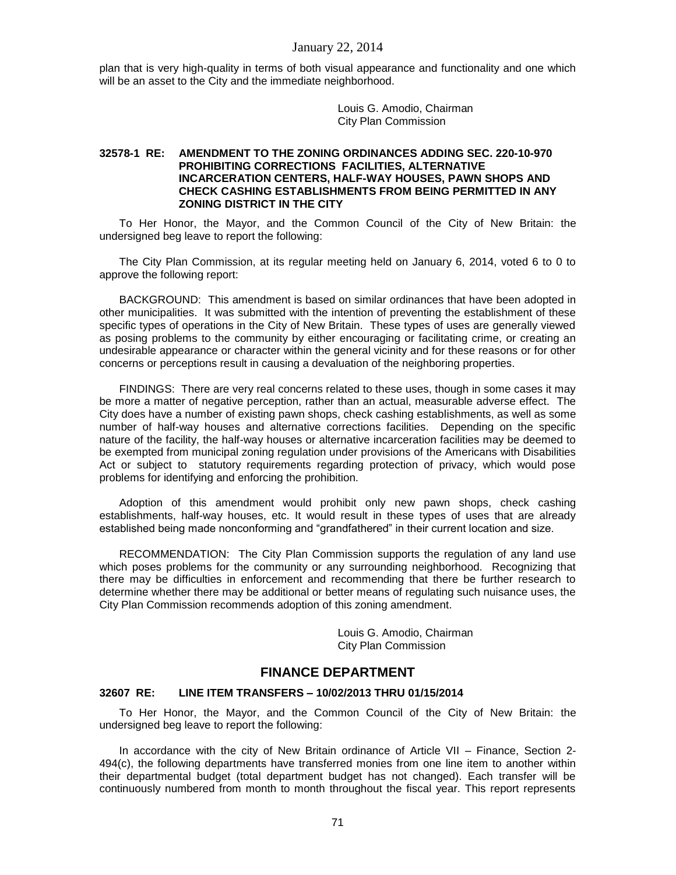plan that is very high-quality in terms of both visual appearance and functionality and one which will be an asset to the City and the immediate neighborhood.

> Louis G. Amodio, Chairman City Plan Commission

### **32578-1 RE: AMENDMENT TO THE ZONING ORDINANCES ADDING SEC. 220-10-970 PROHIBITING CORRECTIONS FACILITIES, ALTERNATIVE INCARCERATION CENTERS, HALF-WAY HOUSES, PAWN SHOPS AND CHECK CASHING ESTABLISHMENTS FROM BEING PERMITTED IN ANY ZONING DISTRICT IN THE CITY**

To Her Honor, the Mayor, and the Common Council of the City of New Britain: the undersigned beg leave to report the following:

The City Plan Commission, at its regular meeting held on January 6, 2014, voted 6 to 0 to approve the following report:

BACKGROUND: This amendment is based on similar ordinances that have been adopted in other municipalities. It was submitted with the intention of preventing the establishment of these specific types of operations in the City of New Britain. These types of uses are generally viewed as posing problems to the community by either encouraging or facilitating crime, or creating an undesirable appearance or character within the general vicinity and for these reasons or for other concerns or perceptions result in causing a devaluation of the neighboring properties.

FINDINGS: There are very real concerns related to these uses, though in some cases it may be more a matter of negative perception, rather than an actual, measurable adverse effect. The City does have a number of existing pawn shops, check cashing establishments, as well as some number of half-way houses and alternative corrections facilities. Depending on the specific nature of the facility, the half-way houses or alternative incarceration facilities may be deemed to be exempted from municipal zoning regulation under provisions of the Americans with Disabilities Act or subject to statutory requirements regarding protection of privacy, which would pose problems for identifying and enforcing the prohibition.

Adoption of this amendment would prohibit only new pawn shops, check cashing establishments, half-way houses, etc. It would result in these types of uses that are already established being made nonconforming and "grandfathered" in their current location and size.

RECOMMENDATION: The City Plan Commission supports the regulation of any land use which poses problems for the community or any surrounding neighborhood. Recognizing that there may be difficulties in enforcement and recommending that there be further research to determine whether there may be additional or better means of regulating such nuisance uses, the City Plan Commission recommends adoption of this zoning amendment.

> Louis G. Amodio, Chairman City Plan Commission

## **FINANCE DEPARTMENT**

### **32607 RE: LINE ITEM TRANSFERS – 10/02/2013 THRU 01/15/2014**

To Her Honor, the Mayor, and the Common Council of the City of New Britain: the undersigned beg leave to report the following:

In accordance with the city of New Britain ordinance of Article VII – Finance, Section 2- 494(c), the following departments have transferred monies from one line item to another within their departmental budget (total department budget has not changed). Each transfer will be continuously numbered from month to month throughout the fiscal year. This report represents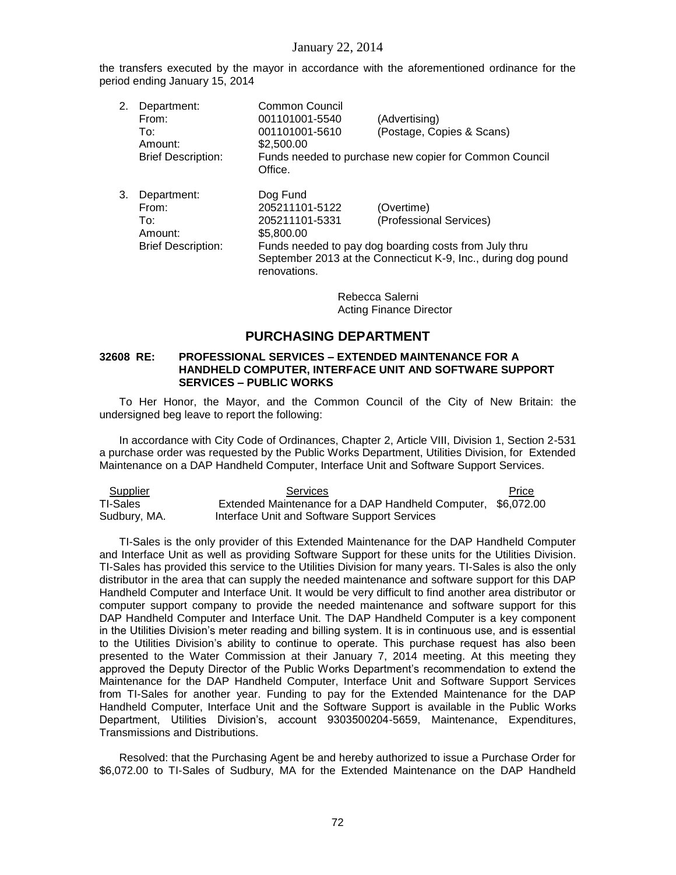the transfers executed by the mayor in accordance with the aforementioned ordinance for the period ending January 15, 2014

2. Department: Common Council From: 001101001-5540 (Advertising) To: 001101001-5610 (Postage, Copies & Scans) Amount: \$2,500.00 Brief Description: Funds needed to purchase new copier for Common Council Office. 3. Department: Dog Fund From: 205211101-5122 (Overtime)<br>To: 205211101-5331 (Profession (Professional Services) Amount: \$5,800.00 Brief Description: Funds needed to pay dog boarding costs from July thru September 2013 at the Connecticut K-9, Inc., during dog pound

> Rebecca Salerni Acting Finance Director

# **PURCHASING DEPARTMENT**

#### **32608 RE: PROFESSIONAL SERVICES – EXTENDED MAINTENANCE FOR A HANDHELD COMPUTER, INTERFACE UNIT AND SOFTWARE SUPPORT SERVICES – PUBLIC WORKS**

renovations.

To Her Honor, the Mayor, and the Common Council of the City of New Britain: the undersigned beg leave to report the following:

In accordance with City Code of Ordinances, Chapter 2, Article VIII, Division 1, Section 2-531 a purchase order was requested by the Public Works Department, Utilities Division, for Extended Maintenance on a DAP Handheld Computer, Interface Unit and Software Support Services.

| <b>Supplier</b> | Services                                                     | Price |
|-----------------|--------------------------------------------------------------|-------|
| TI-Sales        | Extended Maintenance for a DAP Handheld Computer, \$6,072.00 |       |
| Sudbury, MA.    | Interface Unit and Software Support Services                 |       |

TI-Sales is the only provider of this Extended Maintenance for the DAP Handheld Computer and Interface Unit as well as providing Software Support for these units for the Utilities Division. TI-Sales has provided this service to the Utilities Division for many years. TI-Sales is also the only distributor in the area that can supply the needed maintenance and software support for this DAP Handheld Computer and Interface Unit. It would be very difficult to find another area distributor or computer support company to provide the needed maintenance and software support for this DAP Handheld Computer and Interface Unit. The DAP Handheld Computer is a key component in the Utilities Division's meter reading and billing system. It is in continuous use, and is essential to the Utilities Division's ability to continue to operate. This purchase request has also been presented to the Water Commission at their January 7, 2014 meeting. At this meeting they approved the Deputy Director of the Public Works Department's recommendation to extend the Maintenance for the DAP Handheld Computer, Interface Unit and Software Support Services from TI-Sales for another year. Funding to pay for the Extended Maintenance for the DAP Handheld Computer, Interface Unit and the Software Support is available in the Public Works Department, Utilities Division's, account 9303500204-5659, Maintenance, Expenditures, Transmissions and Distributions.

Resolved: that the Purchasing Agent be and hereby authorized to issue a Purchase Order for \$6,072.00 to TI-Sales of Sudbury, MA for the Extended Maintenance on the DAP Handheld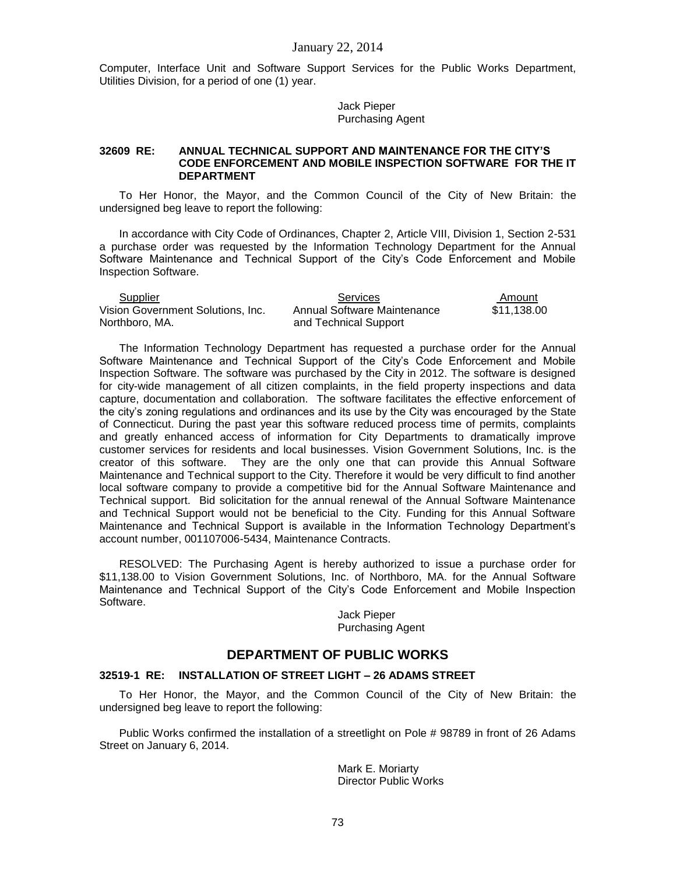Computer, Interface Unit and Software Support Services for the Public Works Department, Utilities Division, for a period of one (1) year.

> Jack Pieper Purchasing Agent

#### **32609 RE: ANNUAL TECHNICAL SUPPORT AND MAINTENANCE FOR THE CITY'S CODE ENFORCEMENT AND MOBILE INSPECTION SOFTWARE FOR THE IT DEPARTMENT**

To Her Honor, the Mayor, and the Common Council of the City of New Britain: the undersigned beg leave to report the following:

In accordance with City Code of Ordinances, Chapter 2, Article VIII, Division 1, Section 2-531 a purchase order was requested by the Information Technology Department for the Annual Software Maintenance and Technical Support of the City's Code Enforcement and Mobile Inspection Software.

| Supplier                          | Services                    | Amount      |
|-----------------------------------|-----------------------------|-------------|
| Vision Government Solutions. Inc. | Annual Software Maintenance | \$11,138.00 |
| Northboro. MA.                    | and Technical Support       |             |

The Information Technology Department has requested a purchase order for the Annual Software Maintenance and Technical Support of the City's Code Enforcement and Mobile Inspection Software. The software was purchased by the City in 2012. The software is designed for city-wide management of all citizen complaints, in the field property inspections and data capture, documentation and collaboration. The software facilitates the effective enforcement of the city's zoning regulations and ordinances and its use by the City was encouraged by the State of Connecticut. During the past year this software reduced process time of permits, complaints and greatly enhanced access of information for City Departments to dramatically improve customer services for residents and local businesses. Vision Government Solutions, Inc. is the creator of this software. They are the only one that can provide this Annual Software Maintenance and Technical support to the City. Therefore it would be very difficult to find another local software company to provide a competitive bid for the Annual Software Maintenance and Technical support. Bid solicitation for the annual renewal of the Annual Software Maintenance and Technical Support would not be beneficial to the City. Funding for this Annual Software Maintenance and Technical Support is available in the Information Technology Department's account number, 001107006-5434, Maintenance Contracts.

RESOLVED: The Purchasing Agent is hereby authorized to issue a purchase order for \$11,138.00 to Vision Government Solutions, Inc. of Northboro, MA. for the Annual Software Maintenance and Technical Support of the City's Code Enforcement and Mobile Inspection Software.

> Jack Pieper Purchasing Agent

## **DEPARTMENT OF PUBLIC WORKS**

### **32519-1 RE: INSTALLATION OF STREET LIGHT – 26 ADAMS STREET**

To Her Honor, the Mayor, and the Common Council of the City of New Britain: the undersigned beg leave to report the following:

Public Works confirmed the installation of a streetlight on Pole # 98789 in front of 26 Adams Street on January 6, 2014.

> Mark E. Moriarty Director Public Works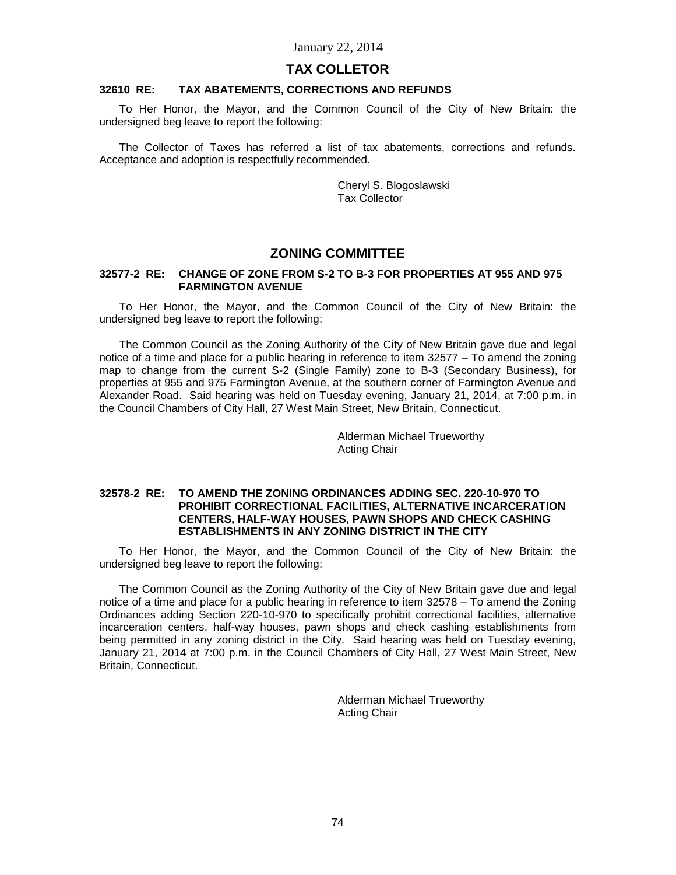### **TAX COLLETOR**

#### **32610 RE: TAX ABATEMENTS, CORRECTIONS AND REFUNDS**

To Her Honor, the Mayor, and the Common Council of the City of New Britain: the undersigned beg leave to report the following:

The Collector of Taxes has referred a list of tax abatements, corrections and refunds. Acceptance and adoption is respectfully recommended.

> Cheryl S. Blogoslawski Tax Collector

# **ZONING COMMITTEE**

#### **32577-2 RE: CHANGE OF ZONE FROM S-2 TO B-3 FOR PROPERTIES AT 955 AND 975 FARMINGTON AVENUE**

To Her Honor, the Mayor, and the Common Council of the City of New Britain: the undersigned beg leave to report the following:

The Common Council as the Zoning Authority of the City of New Britain gave due and legal notice of a time and place for a public hearing in reference to item 32577 – To amend the zoning map to change from the current S-2 (Single Family) zone to B-3 (Secondary Business), for properties at 955 and 975 Farmington Avenue, at the southern corner of Farmington Avenue and Alexander Road. Said hearing was held on Tuesday evening, January 21, 2014, at 7:00 p.m. in the Council Chambers of City Hall, 27 West Main Street, New Britain, Connecticut.

> Alderman Michael Trueworthy Acting Chair

#### **32578-2 RE: TO AMEND THE ZONING ORDINANCES ADDING SEC. 220-10-970 TO PROHIBIT CORRECTIONAL FACILITIES, ALTERNATIVE INCARCERATION CENTERS, HALF-WAY HOUSES, PAWN SHOPS AND CHECK CASHING ESTABLISHMENTS IN ANY ZONING DISTRICT IN THE CITY**

To Her Honor, the Mayor, and the Common Council of the City of New Britain: the undersigned beg leave to report the following:

The Common Council as the Zoning Authority of the City of New Britain gave due and legal notice of a time and place for a public hearing in reference to item 32578 – To amend the Zoning Ordinances adding Section 220-10-970 to specifically prohibit correctional facilities, alternative incarceration centers, half-way houses, pawn shops and check cashing establishments from being permitted in any zoning district in the City. Said hearing was held on Tuesday evening, January 21, 2014 at 7:00 p.m. in the Council Chambers of City Hall, 27 West Main Street, New Britain, Connecticut.

> Alderman Michael Trueworthy Acting Chair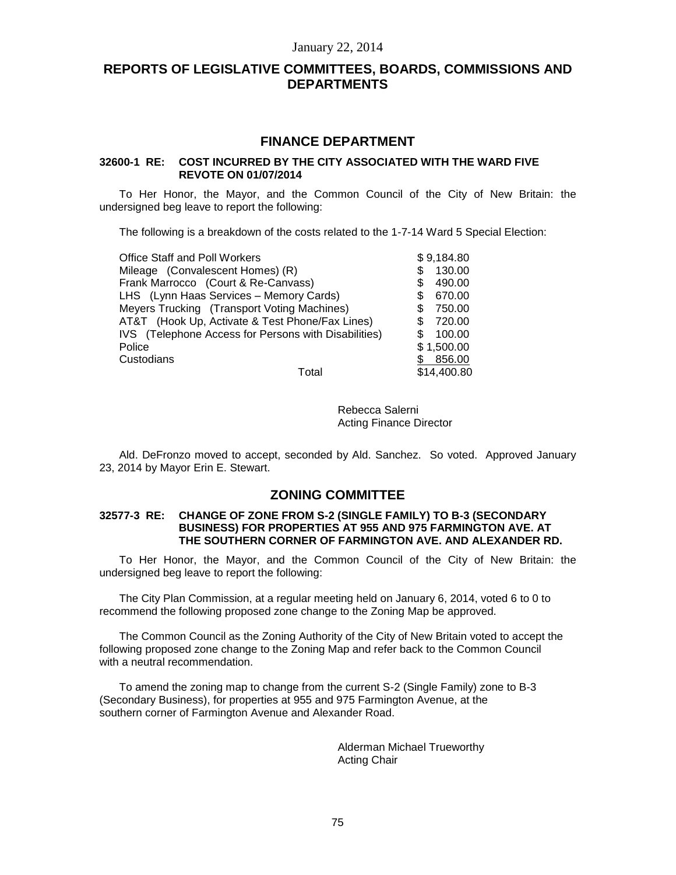# **REPORTS OF LEGISLATIVE COMMITTEES, BOARDS, COMMISSIONS AND DEPARTMENTS**

# **FINANCE DEPARTMENT**

### **32600-1 RE: COST INCURRED BY THE CITY ASSOCIATED WITH THE WARD FIVE REVOTE ON 01/07/2014**

To Her Honor, the Mayor, and the Common Council of the City of New Britain: the undersigned beg leave to report the following:

The following is a breakdown of the costs related to the 1-7-14 Ward 5 Special Election:

| <b>Office Staff and Poll Workers</b>                 | \$9,184.80    |
|------------------------------------------------------|---------------|
| Mileage (Convalescent Homes) (R)                     | 130.00        |
| Frank Marrocco (Court & Re-Canvass)                  | 490.00<br>S   |
| LHS (Lynn Haas Services - Memory Cards)              | 670.00<br>\$. |
| Meyers Trucking (Transport Voting Machines)          | 750.00<br>S   |
| AT&T (Hook Up, Activate & Test Phone/Fax Lines)      | 720.00<br>S.  |
| IVS (Telephone Access for Persons with Disabilities) | 100.00        |
| Police                                               | \$1,500.00    |
| Custodians                                           | \$856.00      |
| Total                                                | \$14,400.80   |

Rebecca Salerni Acting Finance Director

Ald. DeFronzo moved to accept, seconded by Ald. Sanchez. So voted. Approved January 23, 2014 by Mayor Erin E. Stewart.

## **ZONING COMMITTEE**

#### **32577-3 RE: CHANGE OF ZONE FROM S-2 (SINGLE FAMILY) TO B-3 (SECONDARY BUSINESS) FOR PROPERTIES AT 955 AND 975 FARMINGTON AVE. AT THE SOUTHERN CORNER OF FARMINGTON AVE. AND ALEXANDER RD.**

To Her Honor, the Mayor, and the Common Council of the City of New Britain: the undersigned beg leave to report the following:

The City Plan Commission, at a regular meeting held on January 6, 2014, voted 6 to 0 to recommend the following proposed zone change to the Zoning Map be approved.

The Common Council as the Zoning Authority of the City of New Britain voted to accept the following proposed zone change to the Zoning Map and refer back to the Common Council with a neutral recommendation.

To amend the zoning map to change from the current S-2 (Single Family) zone to B-3 (Secondary Business), for properties at 955 and 975 Farmington Avenue, at the southern corner of Farmington Avenue and Alexander Road.

> Alderman Michael Trueworthy Acting Chair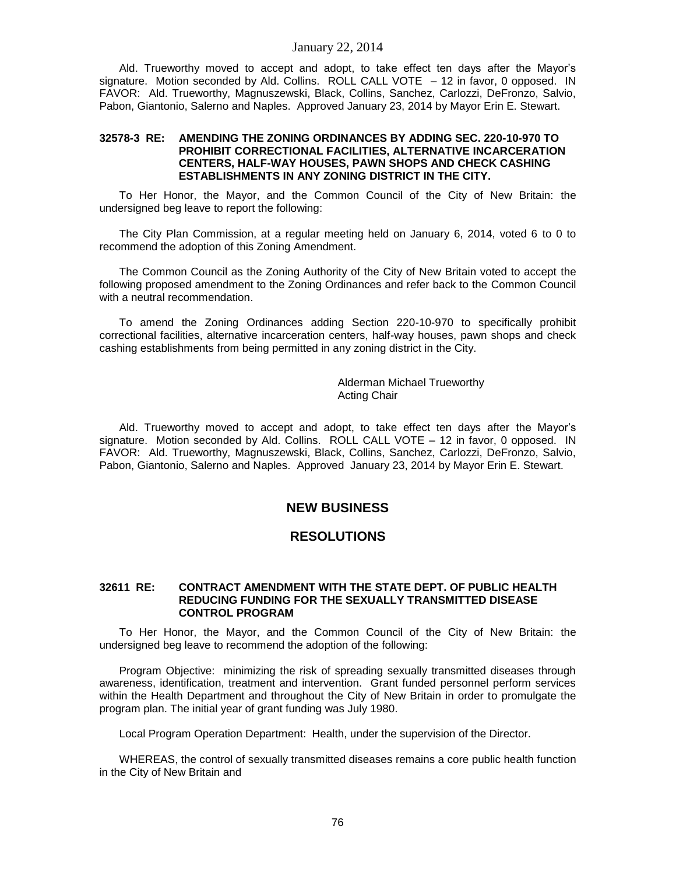Ald. Trueworthy moved to accept and adopt, to take effect ten days after the Mayor's signature. Motion seconded by Ald. Collins. ROLL CALL VOTE  $-12$  in favor, 0 opposed. IN FAVOR: Ald. Trueworthy, Magnuszewski, Black, Collins, Sanchez, Carlozzi, DeFronzo, Salvio, Pabon, Giantonio, Salerno and Naples. Approved January 23, 2014 by Mayor Erin E. Stewart.

#### **32578-3 RE: AMENDING THE ZONING ORDINANCES BY ADDING SEC. 220-10-970 TO PROHIBIT CORRECTIONAL FACILITIES, ALTERNATIVE INCARCERATION CENTERS, HALF-WAY HOUSES, PAWN SHOPS AND CHECK CASHING ESTABLISHMENTS IN ANY ZONING DISTRICT IN THE CITY.**

To Her Honor, the Mayor, and the Common Council of the City of New Britain: the undersigned beg leave to report the following:

The City Plan Commission, at a regular meeting held on January 6, 2014, voted 6 to 0 to recommend the adoption of this Zoning Amendment.

The Common Council as the Zoning Authority of the City of New Britain voted to accept the following proposed amendment to the Zoning Ordinances and refer back to the Common Council with a neutral recommendation.

To amend the Zoning Ordinances adding Section 220-10-970 to specifically prohibit correctional facilities, alternative incarceration centers, half-way houses, pawn shops and check cashing establishments from being permitted in any zoning district in the City.

> Alderman Michael Trueworthy Acting Chair

Ald. Trueworthy moved to accept and adopt, to take effect ten days after the Mayor's signature. Motion seconded by Ald. Collins. ROLL CALL VOTE – 12 in favor, 0 opposed. IN FAVOR: Ald. Trueworthy, Magnuszewski, Black, Collins, Sanchez, Carlozzi, DeFronzo, Salvio, Pabon, Giantonio, Salerno and Naples. Approved January 23, 2014 by Mayor Erin E. Stewart.

## **NEW BUSINESS**

## **RESOLUTIONS**

#### **32611 RE: CONTRACT AMENDMENT WITH THE STATE DEPT. OF PUBLIC HEALTH REDUCING FUNDING FOR THE SEXUALLY TRANSMITTED DISEASE CONTROL PROGRAM**

To Her Honor, the Mayor, and the Common Council of the City of New Britain: the undersigned beg leave to recommend the adoption of the following:

Program Objective: minimizing the risk of spreading sexually transmitted diseases through awareness, identification, treatment and intervention. Grant funded personnel perform services within the Health Department and throughout the City of New Britain in order to promulgate the program plan. The initial year of grant funding was July 1980.

Local Program Operation Department: Health, under the supervision of the Director.

WHEREAS, the control of sexually transmitted diseases remains a core public health function in the City of New Britain and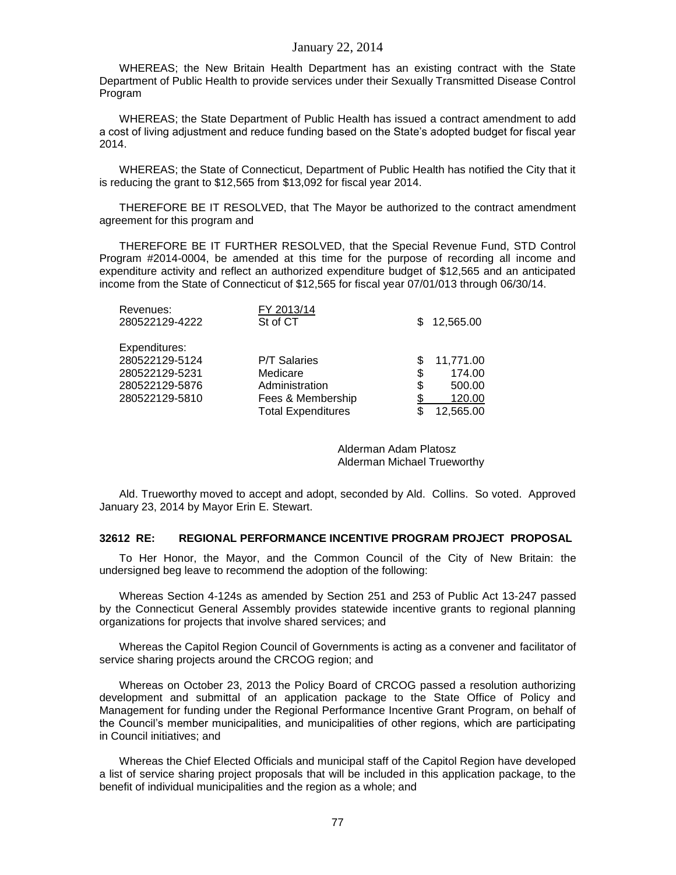WHEREAS; the New Britain Health Department has an existing contract with the State Department of Public Health to provide services under their Sexually Transmitted Disease Control Program

WHEREAS; the State Department of Public Health has issued a contract amendment to add a cost of living adjustment and reduce funding based on the State's adopted budget for fiscal year 2014.

WHEREAS; the State of Connecticut, Department of Public Health has notified the City that it is reducing the grant to \$12,565 from \$13,092 for fiscal year 2014.

THEREFORE BE IT RESOLVED, that The Mayor be authorized to the contract amendment agreement for this program and

THEREFORE BE IT FURTHER RESOLVED, that the Special Revenue Fund, STD Control Program #2014-0004, be amended at this time for the purpose of recording all income and expenditure activity and reflect an authorized expenditure budget of \$12,565 and an anticipated income from the State of Connecticut of \$12,565 for fiscal year 07/01/013 through 06/30/14.

| Revenues:      | FY 2013/14                |    |           |
|----------------|---------------------------|----|-----------|
| 280522129-4222 | St of CT                  | £. | 12,565.00 |
| Expenditures:  |                           |    |           |
| 280522129-5124 | <b>P/T Salaries</b>       |    | 11,771.00 |
| 280522129-5231 | Medicare                  | S  | 174.00    |
| 280522129-5876 | Administration            | S  | 500.00    |
| 280522129-5810 | Fees & Membership         |    | 120.00    |
|                | <b>Total Expenditures</b> |    | 12,565.00 |
|                |                           |    |           |

Alderman Adam Platosz Alderman Michael Trueworthy

Ald. Trueworthy moved to accept and adopt, seconded by Ald. Collins. So voted. Approved January 23, 2014 by Mayor Erin E. Stewart.

#### **32612 RE: REGIONAL PERFORMANCE INCENTIVE PROGRAM PROJECT PROPOSAL**

To Her Honor, the Mayor, and the Common Council of the City of New Britain: the undersigned beg leave to recommend the adoption of the following:

Whereas Section 4-124s as amended by Section 251 and 253 of Public Act 13-247 passed by the Connecticut General Assembly provides statewide incentive grants to regional planning organizations for projects that involve shared services; and

Whereas the Capitol Region Council of Governments is acting as a convener and facilitator of service sharing projects around the CRCOG region; and

Whereas on October 23, 2013 the Policy Board of CRCOG passed a resolution authorizing development and submittal of an application package to the State Office of Policy and Management for funding under the Regional Performance Incentive Grant Program, on behalf of the Council's member municipalities, and municipalities of other regions, which are participating in Council initiatives; and

Whereas the Chief Elected Officials and municipal staff of the Capitol Region have developed a list of service sharing project proposals that will be included in this application package, to the benefit of individual municipalities and the region as a whole; and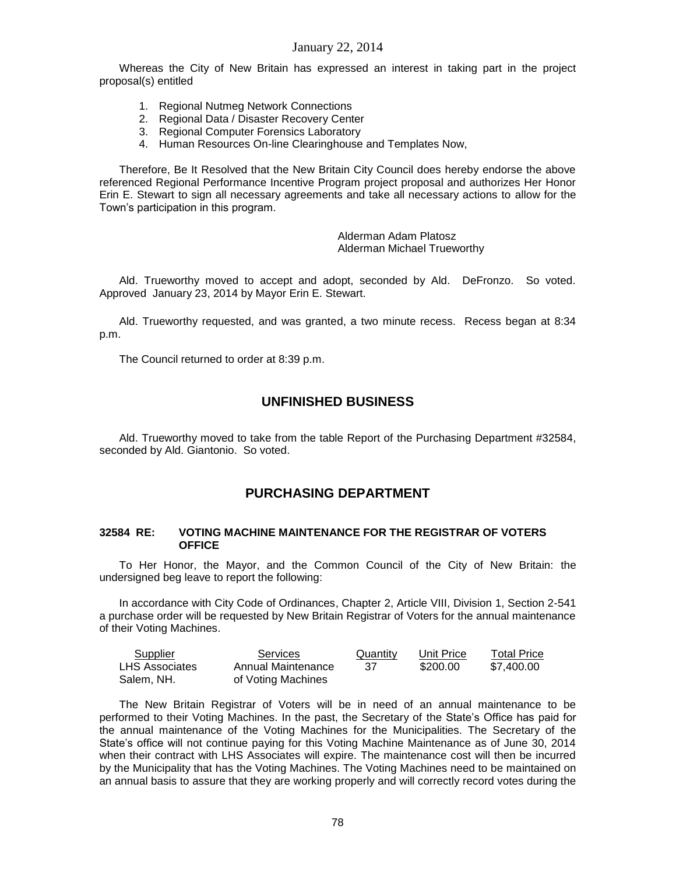Whereas the City of New Britain has expressed an interest in taking part in the project proposal(s) entitled

- 1. Regional Nutmeg Network Connections
- 2. Regional Data / Disaster Recovery Center
- 3. Regional Computer Forensics Laboratory
- 4. Human Resources On-line Clearinghouse and Templates Now,

Therefore, Be It Resolved that the New Britain City Council does hereby endorse the above referenced Regional Performance Incentive Program project proposal and authorizes Her Honor Erin E. Stewart to sign all necessary agreements and take all necessary actions to allow for the Town's participation in this program.

> Alderman Adam Platosz Alderman Michael Trueworthy

Ald. Trueworthy moved to accept and adopt, seconded by Ald. DeFronzo. So voted. Approved January 23, 2014 by Mayor Erin E. Stewart.

Ald. Trueworthy requested, and was granted, a two minute recess. Recess began at 8:34 p.m.

The Council returned to order at 8:39 p.m.

# **UNFINISHED BUSINESS**

Ald. Trueworthy moved to take from the table Report of the Purchasing Department #32584, seconded by Ald. Giantonio. So voted.

# **PURCHASING DEPARTMENT**

#### **32584 RE: VOTING MACHINE MAINTENANCE FOR THE REGISTRAR OF VOTERS OFFICE**

To Her Honor, the Mayor, and the Common Council of the City of New Britain: the undersigned beg leave to report the following:

In accordance with City Code of Ordinances, Chapter 2, Article VIII, Division 1, Section 2-541 a purchase order will be requested by New Britain Registrar of Voters for the annual maintenance of their Voting Machines.

| Supplier       | Services           | Quantity | Unit Price | <b>Total Price</b> |
|----------------|--------------------|----------|------------|--------------------|
| LHS Associates | Annual Maintenance | -37      | \$200.00   | \$7.400.00         |
| Salem, NH.     | of Voting Machines |          |            |                    |

The New Britain Registrar of Voters will be in need of an annual maintenance to be performed to their Voting Machines. In the past, the Secretary of the State's Office has paid for the annual maintenance of the Voting Machines for the Municipalities. The Secretary of the State's office will not continue paying for this Voting Machine Maintenance as of June 30, 2014 when their contract with LHS Associates will expire. The maintenance cost will then be incurred by the Municipality that has the Voting Machines. The Voting Machines need to be maintained on an annual basis to assure that they are working properly and will correctly record votes during the